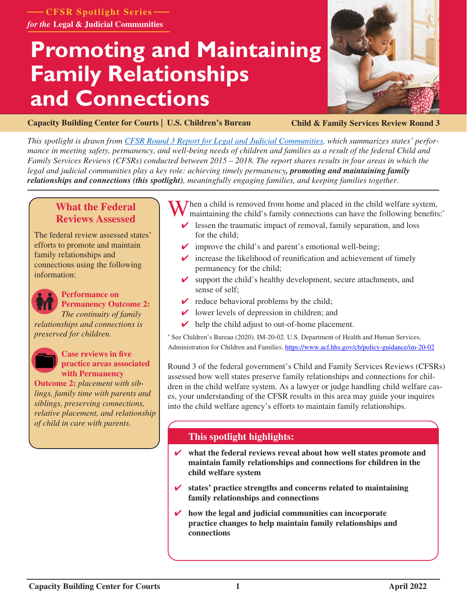**CFSR Spotlight Series** *for the* **Legal & Judicial Communities**

# **Promoting and Maintaining Family Relationships and Connections**



**[Capacity Building Center for Courts | U.S. Children's Bureau](https://capacity.childwelfare.gov/courts/)**

**Child & Family Services Review Round 3**

*This spotlight is drawn from [CFSR Round 3 Report for Legal and Judicial Communities,](https://www.cfsrportal.acf.hhs.gov/announcements/cfsr-round-3-report-legal-and-judicial-communities) which summarizes states' performance in meeting safety, permanency, and well-being needs of children and families as a result of the federal Child and Family Services Reviews (CFSRs) conducted between 2015 – 2018. The report shares results in four areas in which the legal and judicial communities play a key role: achieving timely permanency, promoting and maintaining family relationships and connections (this spotlight), meaningfully engaging families, and keeping families together.*

## **What the Federal Reviews Assessed**

The federal review assessed states' efforts to promote and maintain family relationships and connections using the following information:



#### **Performance on Permanency Outcome 2:**  *The continuity of family*

*relationships and connections is preserved for children.*



**Case reviews in five practice areas associated with Permanency** 

**Outcome 2:** *placement with siblings, family time with parents and siblings, preserving connections, relative placement, and relationship of child in care with parents.* 

When a child is removed from home and placed in the child welfare system, maintaining the child's family connections can have the following benefits:

- $\triangleright$  lessen the traumatic impact of removal, family separation, and loss for the child;
- $\triangleright$  improve the child's and parent's emotional well-being;
- $\triangleright$  increase the likelihood of reunification and achievement of timely permanency for the child;
- $\triangleright$  support the child's healthy development, secure attachments, and sense of self;
- $\triangleright$  reduce behavioral problems by the child;
- $\vee$  lower levels of depression in children; and
- $\vee$  help the child adjust to out-of-home placement.

**\*** See Children's Bureau (2020). IM-20-02. U.S. Department of Health and Human Services, Administration for Children and Families. <https://www.acf.hhs.gov/cb/policy-guidance/im-20-02>

Round 3 of the federal government's Child and Family Services Reviews (CFSRs) assessed how well states preserve family relationships and connections for children in the child welfare system. As a lawyer or judge handling child welfare cases, your understanding of the CFSR results in this area may guide your inquires into the child welfare agency's efforts to maintain family relationships.

## **This spotlight highlights:**

- ✔ **what the federal reviews reveal about how well states promote and maintain family relationships and connections for children in the child welfare system**
- ✔ **states' practice strengths and concerns related to maintaining family relationships and connections**
- ✔ **how the legal and judicial communities can incorporate practice changes to help maintain family relationships and connections**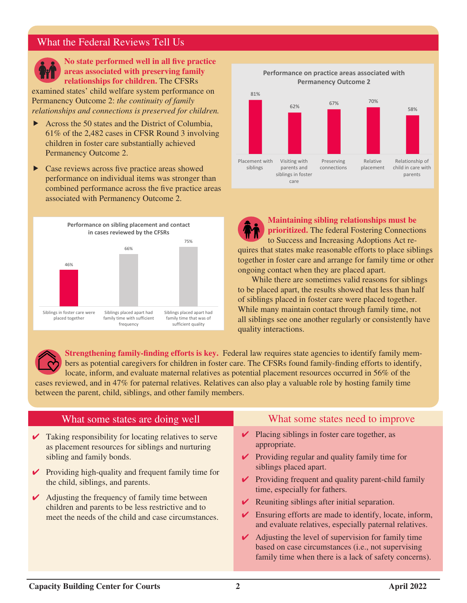## What the Federal Reviews Tell Us



**No state performed well in all five practice areas associated with preserving family relationships for children.** The CFSRs

examined states' child welfare system performance on Permanency Outcome 2: *the continuity of family relationships and connections is preserved for children.*

- $\blacktriangleright$  Across the 50 states and the District of Columbia, 61% of the 2,482 cases in CFSR Round 3 involving children in foster care substantially achieved Permanency Outcome 2.
- $\triangleright$  Case reviews across five practice areas showed performance on individual items was stronger than combined performance across the five practice areas associated with Permanency Outcome 2.





**Maintaining sibling relationships must be prioritized.** The federal Fostering Connections to Success and Increasing Adoptions Act requires that states make reasonable efforts to place siblings together in foster care and arrange for family time or other ongoing contact when they are placed apart.

While there are sometimes valid reasons for siblings to be placed apart, the results showed that less than half of siblings placed in foster care were placed together. While many maintain contact through family time, not all siblings see one another regularly or consistently have quality interactions.

**Strengthening family-finding efforts is key.** Federal law requires state agencies to identify family members as potential caregivers for children in foster care. The CFSRs found family-finding efforts to identify, locate, inform, and evaluate maternal relatives as potential placement resources occurred in 56% of the cases reviewed, and in 47% for paternal relatives. Relatives can also play a valuable role by hosting family time between the parent, child, siblings, and other family members.

#### What some states are doing well

- $\triangleright$  Taking responsibility for locating relatives to serve as placement resources for siblings and nurturing sibling and family bonds.
- $\vee$  Providing high-quality and frequent family time for the child, siblings, and parents.
- $\vee$  Adjusting the frequency of family time between children and parents to be less restrictive and to meet the needs of the child and case circumstances.

## What some states need to improve

- $\vee$  Placing siblings in foster care together, as appropriate.
- $\triangleright$  Providing regular and quality family time for siblings placed apart.
- $\triangleright$  Providing frequent and quality parent-child family time, especially for fathers.
- $\vee$  Reuniting siblings after initial separation.
- $\triangleright$  Ensuring efforts are made to identify, locate, inform, and evaluate relatives, especially paternal relatives.
- $\vee$  Adjusting the level of supervision for family time based on case circumstances (i.e., not supervising family time when there is a lack of safety concerns).